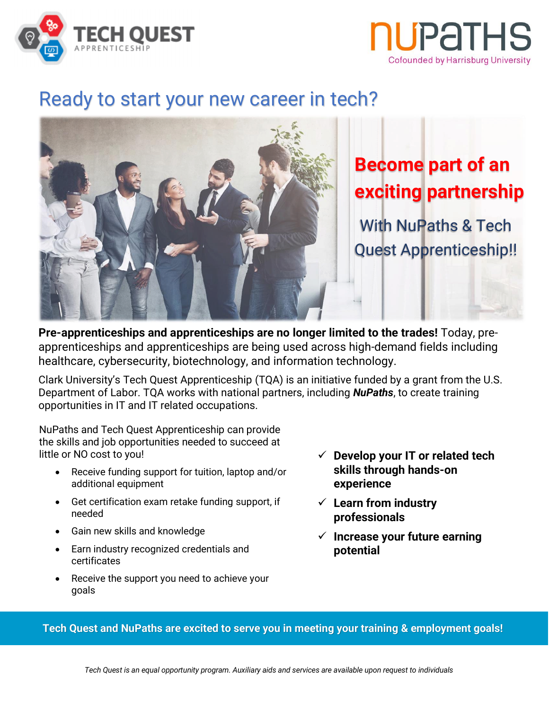



# Ready to start your new career in tech?



**Pre-apprenticeships and apprenticeships are no longer limited to the trades!** Today, preapprenticeships and apprenticeships are being used across high-demand fields including healthcare, cybersecurity, biotechnology, and information technology.

Clark University's Tech Quest Apprenticeship (TQA) is an initiative funded by a grant from the U.S. Department of Labor. TQA works with national partners, including *NuPaths*, to create training opportunities in IT and IT related occupations.

NuPaths and Tech Quest Apprenticeship can provide the skills and job opportunities needed to succeed at little or NO cost to you!

- Receive funding support for tuition, laptop and/or additional equipment
- Get certification exam retake funding support, if needed
- Gain new skills and knowledge
- Earn industry recognized credentials and certificates
- Receive the support you need to achieve your goals
- ✓ **Develop your IT or related tech skills through hands-on experience**
- ✓ **Learn from industry professionals**
- ✓ **Increase your future earning potential**

**Tech Quest and NuPaths are excited to serve you in meeting your training & employment goals!**